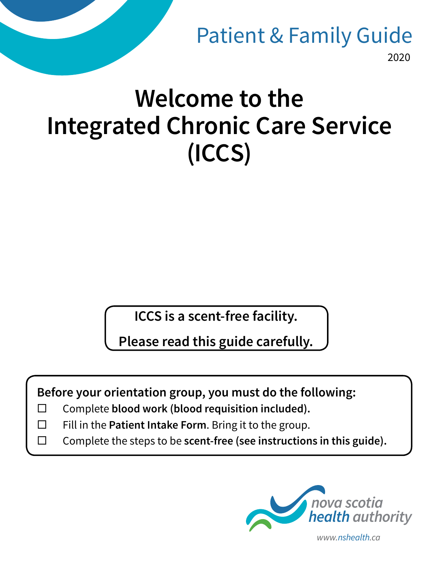2020 Patient & Family Guide

# **Welcome to the Integrated Chronic Care Service (ICCS)**

**ICCS is a scent-free facility.** 

**Please read this guide carefully.**

**Before your orientation group, you must do the following:**

- Complete **blood work (blood requisition included).**
- $\Box$  Fill in the **Patient Intake Form**. Bring it to the group.
- Complete the steps to be **scent-free (see instructions in this guide).**

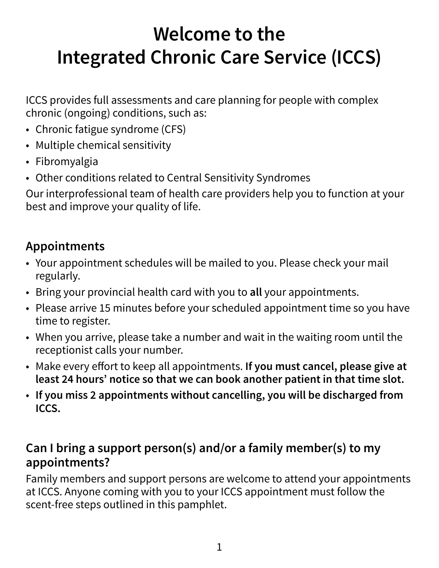## **Welcome to the Integrated Chronic Care Service (ICCS)**

ICCS provides full assessments and care planning for people with complex chronic (ongoing) conditions, such as:

- Chronic fatigue syndrome (CFS)
- Multiple chemical sensitivity
- Fibromyalgia
- Other conditions related to Central Sensitivity Syndromes

Our interprofessional team of health care providers help you to function at your best and improve your quality of life.

#### **Appointments**

- Your appointment schedules will be mailed to you. Please check your mail regularly.
- Bring your provincial health card with you to **all** your appointments.
- Please arrive 15 minutes before your scheduled appointment time so you have time to register.
- When you arrive, please take a number and wait in the waiting room until the receptionist calls your number.
- Make every effort to keep all appointments. **If you must cancel, please give at least 24 hours' notice so that we can book another patient in that time slot.**
- **If you miss 2 appointments without cancelling, you will be discharged from ICCS.**

#### **Can I bring a support person(s) and/or a family member(s) to my appointments?**

Family members and support persons are welcome to attend your appointments at ICCS. Anyone coming with you to your ICCS appointment must follow the scent-free steps outlined in this pamphlet.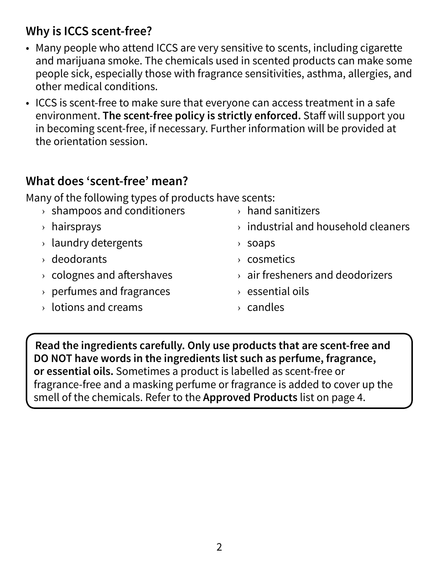#### **Why is ICCS scent-free?**

- Many people who attend ICCS are very sensitive to scents, including cigarette and marijuana smoke. The chemicals used in scented products can make some people sick, especially those with fragrance sensitivities, asthma, allergies, and other medical conditions.
- ICCS is scent-free to make sure that everyone can access treatment in a safe environment. **The scent-free policy is strictly enforced.** Staff will support you in becoming scent-free, if necessary. Further information will be provided at the orientation session.

#### **What does 'scent-free' mean?**

Many of the following types of products have scents:

| $\rightarrow$ shampoos and conditioners | $\rightarrow$ hand sanitizers                   |
|-----------------------------------------|-------------------------------------------------|
| $\rightarrow$ hairsprays                | $\rightarrow$ industrial and household cleaners |
| $\rightarrow$ laundry detergents        | soaps<br>≻                                      |
| $\rightarrow$ deodorants                | $\rightarrow$ cosmetics                         |
| $\rightarrow$ colognes and aftershaves  | $\rightarrow$ air fresheners and deodorizers    |
| $\rightarrow$ perfumes and fragrances   | $\rightarrow$ essential oils                    |
| $\rightarrow$ lotions and creams        | $\rightarrow$ candles                           |
|                                         |                                                 |

**Read the ingredients carefully. Only use products that are scent-free and DO NOT have words in the ingredients list such as perfume, fragrance, or essential oils.** Sometimes a product is labelled as scent-free or fragrance-free and a masking perfume or fragrance is added to cover up the smell of the chemicals. Refer to the **Approved Products** list on page 4.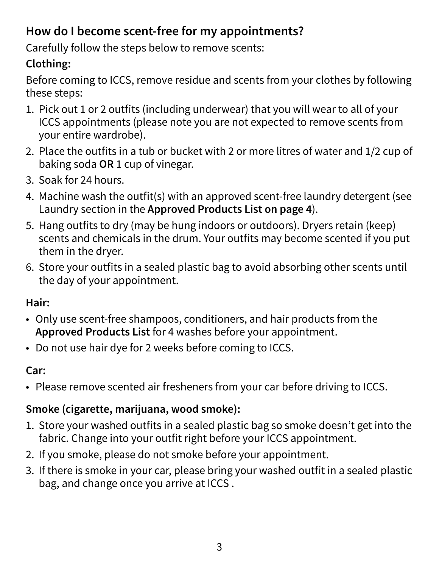### **How do I become scent-free for my appointments?**

Carefully follow the steps below to remove scents:

#### **Clothing:**

Before coming to ICCS, remove residue and scents from your clothes by following these steps:

- 1. Pick out 1 or 2 outfits (including underwear) that you will wear to all of your ICCS appointments (please note you are not expected to remove scents from your entire wardrobe).
- 2. Place the outfits in a tub or bucket with 2 or more litres of water and 1/2 cup of baking soda **OR** 1 cup of vinegar.
- 3. Soak for 24 hours.
- 4. Machine wash the outfit(s) with an approved scent-free laundry detergent (see Laundry section in the **Approved Products List on page 4**).
- 5. Hang outfits to dry (may be hung indoors or outdoors). Dryers retain (keep) scents and chemicals in the drum. Your outfits may become scented if you put them in the dryer.
- 6. Store your outfits in a sealed plastic bag to avoid absorbing other scents until the day of your appointment.

#### **Hair:**

- Only use scent-free shampoos, conditioners, and hair products from the **Approved Products List** for 4 washes before your appointment.
- Do not use hair dye for 2 weeks before coming to ICCS.

#### **Car:**

• Please remove scented air fresheners from your car before driving to ICCS.

#### **Smoke (cigarette, marijuana, wood smoke):**

- 1. Store your washed outfits in a sealed plastic bag so smoke doesn't get into the fabric. Change into your outfit right before your ICCS appointment.
- 2. If you smoke, please do not smoke before your appointment.
- 3. If there is smoke in your car, please bring your washed outfit in a sealed plastic bag, and change once you arrive at ICCS .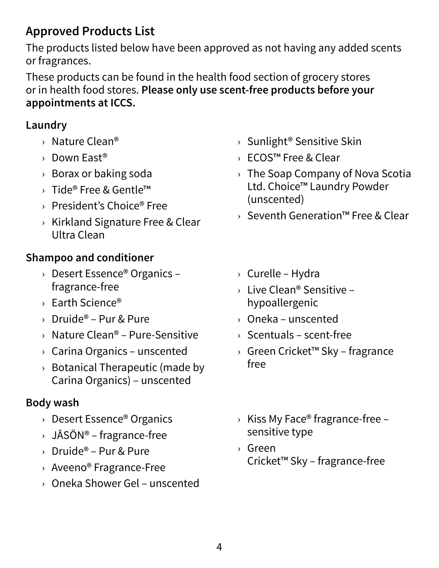### **Approved Products List**

The products listed below have been approved as not having any added scents or fragrances.

These products can be found in the health food section of grocery stores or in health food stores. **Please only use scent-free products before your appointments at ICCS.** 

#### **Laundry**

- › Nature Clean®
- › Down East®
- › Borax or baking soda
- › Tide® Free & Gentle™
- › President's Choice® Free
- › Kirkland Signature Free & Clear Ultra Clean

#### **Shampoo and conditioner**

- › Desert Essence® Organics fragrance-free
- › Earth Science®
- $\rightarrow$  Druide® Pur & Pure
- $\rightarrow$  Nature Clean® Pure-Sensitive
- $\rightarrow$  Carina Organics unscented
- $\rightarrow$  Botanical Therapeutic (made by Carina Organics) – unscented

#### **Body wash**

- › Desert Essence® Organics
- $\rightarrow$  JĀSÖN® fragrance-free
- $\rightarrow$  Druide® Pur & Pure
- › Aveeno® Fragrance-Free
- › Oneka Shower Gel unscented
- › Sunlight® Sensitive Skin
- › ECOS™ Free & Clear
- $\rightarrow$  The Soap Company of Nova Scotia Ltd. Choice™ Laundry Powder (unscented)
- › Seventh Generation™ Free & Clear
- › Curelle Hydra
- $\rightarrow$  Live Clean® Sensitive hypoallergenic
- › Oneka unscented
- $\rightarrow$  Scentuals scent-free
- › Green Cricket™ Sky fragrance free
- $\rightarrow$  Kiss My Face® fragrance-free sensitive type
- › Green Cricket™ Sky – fragrance-free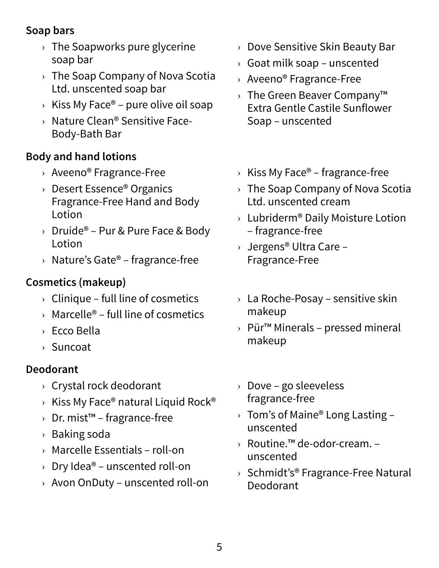#### **Soap bars**

- $\rightarrow$  The Soapworks pure glycerine soap bar
- $\rightarrow$  The Soap Company of Nova Scotia Ltd. unscented soap bar
- $\rightarrow$  Kiss My Face® pure olive oil soap
- › Nature Clean® Sensitive Face-Body-Bath Bar

#### **Body and hand lotions**

- › Aveeno® Fragrance-Free
- › Desert Essence® Organics Fragrance-Free Hand and Body Lotion
- $\rightarrow$  Druide® Pur & Pure Face & Body Lotion
- $\rightarrow$  Nature's Gate® fragrance-free

#### **Cosmetics (makeup)**

- $\rightarrow$  Clinique full line of cosmetics
- $\rightarrow$  Marcelle® full line of cosmetics
- › Ecco Bella
- › Suncoat

#### **Deodorant**

- › Crystal rock deodorant
- $\rightarrow$  Kiss My Face® natural Liquid Rock®
- › Dr. mist™ fragrance-free
- › Baking soda
- › Marcelle Essentials roll-on
- $\rightarrow$  Dry Idea® unscented roll-on
- › Avon OnDuty unscented roll-on
- › Dove Sensitive Skin Beauty Bar
- $\rightarrow$  Goat milk soap unscented
- › Aveeno® Fragrance-Free
- › The Green Beaver Company™ Extra Gentle Castile Sunflower Soap – unscented
- $\rightarrow$  Kiss My Face® fragrance-free
- $\rightarrow$  The Soap Company of Nova Scotia Ltd. unscented cream
- $\rightarrow$  Lubriderm® Daily Moisture Lotion – fragrance-free
- › Jergens® Ultra Care Fragrance-Free
- $\rightarrow$  La Roche-Posay sensitive skin makeup
- › Pür™ Minerals pressed mineral makeup
- › Dove go sleeveless fragrance-free
- $\rightarrow$  Tom's of Maine® Long Lasting unscented
- › Routine.™ de-odor-cream. unscented
- $\rightarrow$  Schmidt's® Fragrance-Free Natural Deodorant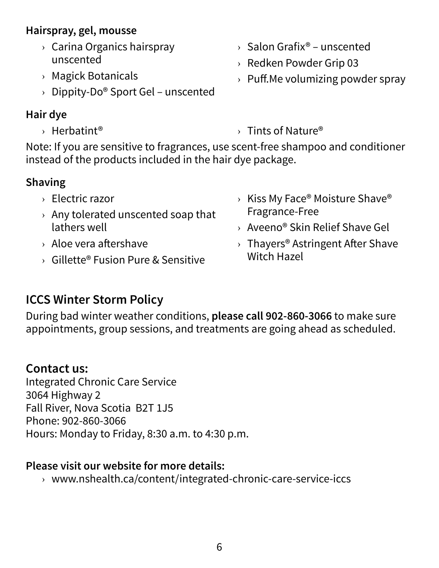#### **Hairspray, gel, mousse**

- › Carina Organics hairspray unscented
- › Magick Botanicals
- $\rightarrow$  Dippity-Do® Sport Gel unscented

#### **Hair dye**

- › Herbatint® › Tints of Nature®
- 
- Note: If you are sensitive to fragrances, use scent-free shampoo and conditioner instead of the products included in the hair dye package.

#### **Shaving**

- › Electric razor
- $\rightarrow$  Any tolerated unscented soap that lathers well
- › Aloe vera aftershave
- $\rightarrow$  Gillette® Fusion Pure & Sensitive
- $\rightarrow$  Kiss My Face® Moisture Shave® Fragrance-Free
- › Aveeno® Skin Relief Shave Gel
- $\rightarrow$  Thayers® Astringent After Shave Witch Hazel

#### **ICCS Winter Storm Policy**

During bad winter weather conditions, **please call 902-860-3066** to make sure appointments, group sessions, and treatments are going ahead as scheduled.

#### **Contact us:**

Integrated Chronic Care Service 3064 Highway 2 Fall River, Nova Scotia B2T 1J5 Phone: 902-860-3066 Hours: Monday to Friday, 8:30 a.m. to 4:30 p.m.

#### **Please visit our website for more details:**

› www.nshealth.ca/content/integrated-chronic-care-service-iccs

- $\rightarrow$  Salon Grafix® unscented
- › Redken Powder Grip 03
- $\rightarrow$  Puff. Me volumizing powder spray